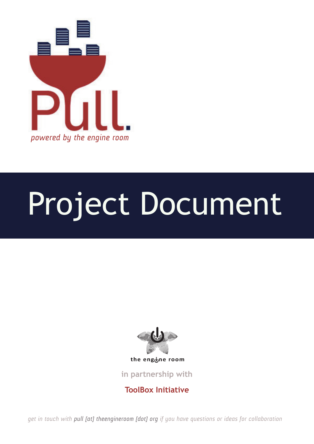

# Project Document



in partnership with '%##!"\$ !%'#" #&\$

**ToolBox Initiative** 

*get in touch with pull [at] theengineroom [dot] org if you have questions or ideas for collaboration*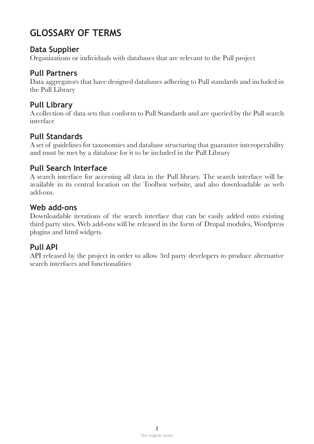# **GLOSSARY OF TERMS**

#### **Data Supplier**

Organizations or individuals with databases that are relevant to the Pull project

#### **Pull Partners**

Data aggregators that have designed databases adhering to Pull standards and included in the Pull Library

## **Pull Library**

A collection of data sets that conform to Pull Standards and are queried by the Pull search interface

# **Pull Standards**

A set of guidelines for taxonomies and database structuring that guarantee interoperability and must be met by a database for it to be included in the Pull Library

### **Pull Search Interface**

A search interface for accessing all data in the Pull library. The search interface will be available in its central location on the Toolbox website, and also downloadable as web add-ons.

#### Web add-ons

Downloadable iterations of the search interface that can be easily added onto existing third party sites. Web add-ons will be released in the form of Drupal modules, Wordpress plugins and html widgets.

## **Pull API**

API released by the project in order to allow 3rd party developers to produce alternative search interfaces and functionalities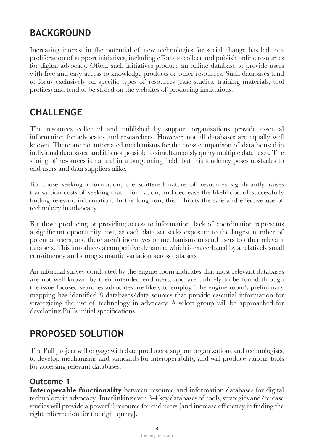# **Background**

Increasing interest in the potential of new technologies for social change has led to a proliferation of support initiatives, including efforts to collect and publish online resources for digital advocacy. Often, such initiatives produce an online database to provide users with free and easy access to knowledge products or other resources. Such databases tend to focus exclusively on specific types of resources (case studies, training materials, tool profiles) and tend to be stored on the websites of producing institutions.

# **Challenge**

The resources collected and published by support organizations provide essential information for advocates and researchers. However, not all databases are equally well known. There are no automated mechanisms for the cross comparison of data housed in individual databases, and it is not possible to simultaneously query multiple databases. The siloing of resources is natural in a burgeoning field, but this tendency poses obstacles to end users and data suppliers alike.

For those seeking information, the scattered nature of resources significantly raises transaction costs of seeking that information, and decrease the likelihood of successfully finding relevant information. In the long run, this inhibits the safe and effective use of technology in advocacy.

For those producing or providing access to information, lack of coordination represents a significant opportunity cost, as each data set seeks exposure to the largest number of potential users, and there aren't incentives or mechanisms to send users to other relevant data sets. This introduces a competitive dynamic, which is exacerbated by a relatively small constituency and strong semantic variation across data sets.

An informal survey conducted by the engine room indicates that most relevant databases are not well known by their intended end-users, and are unlikely to be found through the issue-focused searches advocates are likely to employ. The engine room's preliminary mapping has identified 8 databases/data sources that provide essential information for strategizing the use of technology in advocacy. A select group will be approached for developing Pull's initial specifications.

# **PROPOSED SOLUTION**

The Pull project will engage with data producers, support organizations and technologists, to develop mechanisms and standards for interoperability, and will produce various tools for accessing relevant databases.

# **1 Outcome**

**Interoperable functionality** between resource and information databases for digital technology in advocacy. Interlinking even 3-4 key databases of tools, strategies and/or case studies will provide a powerful resource for end users [and increase efficiency in finding the right information for the right query.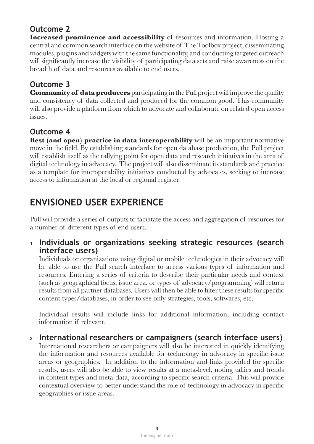# **2 Outcome**

**Increased prominence and accessibility** of resources and information. Hosting a central and common search interface on the website of The Toolbox project, disseminating modules, plugins and widgets with the same functionality, and conducting targeted outreach will significantly increase the visibility of participating data sets and raise awareness on the breadth of data and resources available to end users.

# **3 Outcome**

**Community of data producers** participating in the Pull project will improve the quality and consistency of data collected and produced for the common good. This community will also provide a platform from which to advocate and collaborate on related open access .issues

# **4 Outcome**

**Best (and open) practice in data interoperability** will be an important normative move in the field. By establishing standards for open database production, the Pull project will establish itself as the rallying point for open data and research initiatives in the area of digital technology in advocacy. The project will also disseminate its standards and practice as a template for interoperability initiatives conducted by advocates, seeking to increase access to information at the local or regional register.

# **Experience User Envisioned**

Pull will provide a series of outputs to facilitate the access and aggregation of resources for a number of different types of end users.

#### 1. Individuals or organizations seeking strategic resources (search **(interface users)**

Individuals or organizations using digital or mobile technologies in their advocacy will be able to use the Pull search interface to access various types of information and resources. Entering a series of criteria to describe their particular needs and context (such as geographical focus, issue area, or types of advocacy/programming) will return results from all partner databases. Users will then be able to filter these results for specific .etc content types/databases, in order to see only strategies, tools, softwares, etc.

Individual results will include links for additional information, including contact information if relevant.

#### <u>2</u> International researchers or campaigners (search interface users)

International researchers or campaigners will also be interested in quickly identifying the information and resources available for technology in advocacy in specific issue areas or geographies. In addition to the information and links provided for specific results, users will also be able to view results at a meta-level, noting tallies and trends in content types and meta-data, according to specific search criteria. This will provide contextual overview to better understand the role of technology in advocacy in specific geographies or issue areas.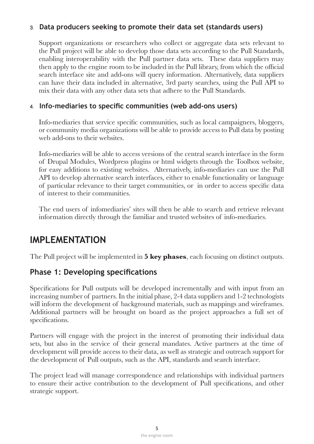#### **(b)** at the producers seeking to promote their data set (standards users)

Support organizations or researchers who collect or aggregate data sets relevant to the Pull project will be able to develop those data sets according to the Pull Standards, enabling interoperability with the Pull partner data sets. These data suppliers may then apply to the engine room to be included in the Pull library, from which the official search interface site and add-ons will query information. Alternatively, data suppliers can have their data included in alternative, 3rd party searches, using the Pull API to mix their data with any other data sets that adhere to the Pull Standards.

#### 4. Info-mediaries to specific communities (web add-ons users)

Info-mediaries that service specific communities, such as local campaigners, bloggers, or community media organizations will be able to provide access to Pull data by posting web add-ons to their websites.

Info-mediaries will be able to access versions of the central search interface in the form of Drupal Modules, Wordpress plugins or html widgets through the Toolbox website, for easy additions to existing websites. Alternatively, info-mediaries can use the Pull API to develop alternative search interfaces, either to enable functionality or language of particular relevance to their target communities, or in order to access specific data of interest to their communities.

The end users of infomediaries' sites will then be able to search and retrieve relevant information directly through the familiar and trusted websites of info-mediaries.

# **Implementation**

The Pull project will be implemented in **5 key phases**, each focusing on distinct outputs.

#### **Phase 1: Developing specifications**

Specifications for Pull outputs will be developed incrementally and with input from an increasing number of partners. In the initial phase, 2-4 data suppliers and 1-2 technologists will inform the development of background materials, such as mappings and wireframes. Additional partners will be brought on board as the project approaches a full set of specifications.

Partners will engage with the project in the interest of promoting their individual data sets, but also in the service of their general mandates. Active partners at the time of development will provide access to their data, as well as strategic and outreach support for the development of Pull outputs, such as the API, standards and search interface.

The project lead will manage correspondence and relationships with individual partners to ensure their active contribution to the development of Pull specifications, and other strategic support.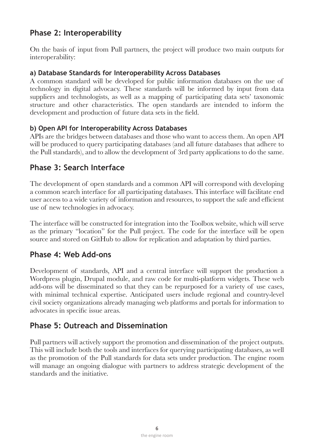# **Phase 2: Interoperability**

On the basis of input from Pull partners, the project will produce two main outputs for interoperability:

#### a) Database Standards for Interoperability Across Databases

A common standard will be developed for public information databases on the use of technology in digital advocacy. These standards will be informed by input from data suppliers and technologists, as well as a mapping of participating data sets' taxonomic structure and other characteristics. The open standards are intended to inform the development and production of future data sets in the field.

#### **b) Open API for Interoperability Across Databases**

APIs are the bridges between databases and those who want to access them. An open API will be produced to query participating databases (and all future databases that adhere to the Pull standards), and to allow the development of 3rd party applications to do the same.

#### **Phase 3: Search Interface**

The development of open standards and a common API will correspond with developing a common search interface for all participating databases. This interface will facilitate end user access to a wide variety of information and resources, to support the safe and efficient use of new technologies in advocacy.

The interface will be constructed for integration into the Toolbox website, which will serve as the primary "location" for the Pull project. The code for the interface will be open source and stored on GitHub to allow for replication and adaptation by third parties.

#### **Phase 4: Web Add-ons**

Development of standards, API and a central interface will support the production a Wordpress plugin, Drupal module, and raw code for multi-platform widgets. These web add-ons will be disseminated so that they can be repurposed for a variety of use cases, with minimal technical expertise. Anticipated users include regional and country-level civil society organizations already managing web platforms and portals for information to advocates in specific issue areas.

#### **Phase 5: Outreach and Dissemination**

Pull partners will actively support the promotion and dissemination of the project outputs. This will include both the tools and interfaces for querying participating databases, as well as the promotion of the Pull standards for data sets under production. The engine room will manage an ongoing dialogue with partners to address strategic development of the standards and the initiative.